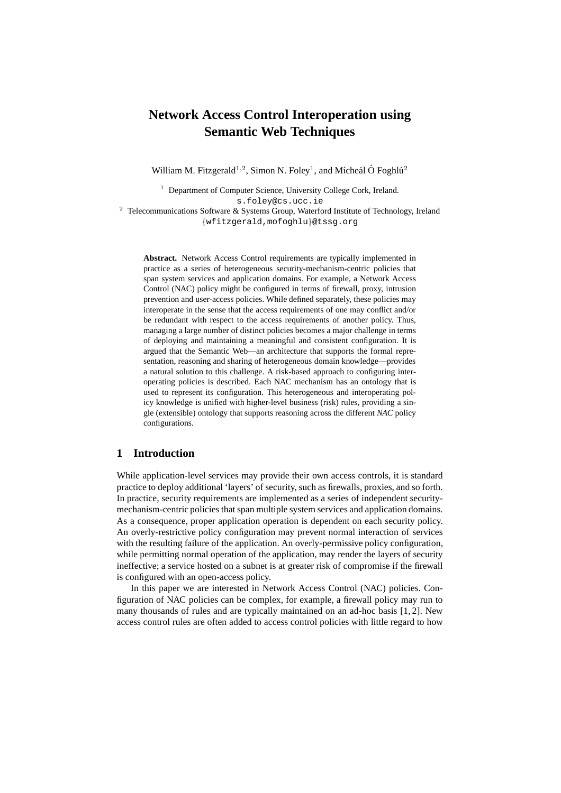# **Network Access Control Interoperation using Semantic Web Techniques**

William M. Fitzgerald<sup>1,2</sup>, Simon N. Foley<sup>1</sup>, and Mícheál Ó Foghlú<sup>2</sup>

 $1$  Department of Computer Science, University College Cork, Ireland. s.foley@cs.ucc.ie

<sup>2</sup> Telecommunications Software & Systems Group, Waterford Institute of Technology, Ireland {wfitzgerald,mofoghlu}@tssg.org

**Abstract.** Network Access Control requirements are typically implemented in practice as a series of heterogeneous security-mechanism-centric policies that span system services and application domains. For example, a Network Access Control (NAC) policy might be configured in terms of firewall, proxy, intrusion prevention and user-access policies. While defined separately, these policies may interoperate in the sense that the access requirements of one may conflict and/or be redundant with respect to the access requirements of another policy. Thus, managing a large number of distinct policies becomes a major challenge in terms of deploying and maintaining a meaningful and consistent configuration. It is argued that the Semantic Web—an architecture that supports the formal representation, reasoning and sharing of heterogeneous domain knowledge—provides a natural solution to this challenge. A risk-based approach to configuring interoperating policies is described. Each NAC mechanism has an ontology that is used to represent its configuration. This heterogeneous and interoperating policy knowledge is unified with higher-level business (risk) rules, providing a single (extensible) ontology that supports reasoning across the different *NAC* policy configurations.

# **1 Introduction**

While application-level services may provide their own access controls, it is standard practice to deploy additional 'layers' of security, such as firewalls, proxies, and so forth. In practice, security requirements are implemented as a series of independent securitymechanism-centric policies that span multiple system services and application domains. As a consequence, proper application operation is dependent on each security policy. An overly-restrictive policy configuration may prevent normal interaction of services with the resulting failure of the application. An overly-permissive policy configuration, while permitting normal operation of the application, may render the layers of security ineffective; a service hosted on a subnet is at greater risk of compromise if the firewall is configured with an open-access policy.

In this paper we are interested in Network Access Control (NAC) policies. Configuration of NAC policies can be complex, for example, a firewall policy may run to many thousands of rules and are typically maintained on an ad-hoc basis [1, 2]. New access control rules are often added to access control policies with little regard to how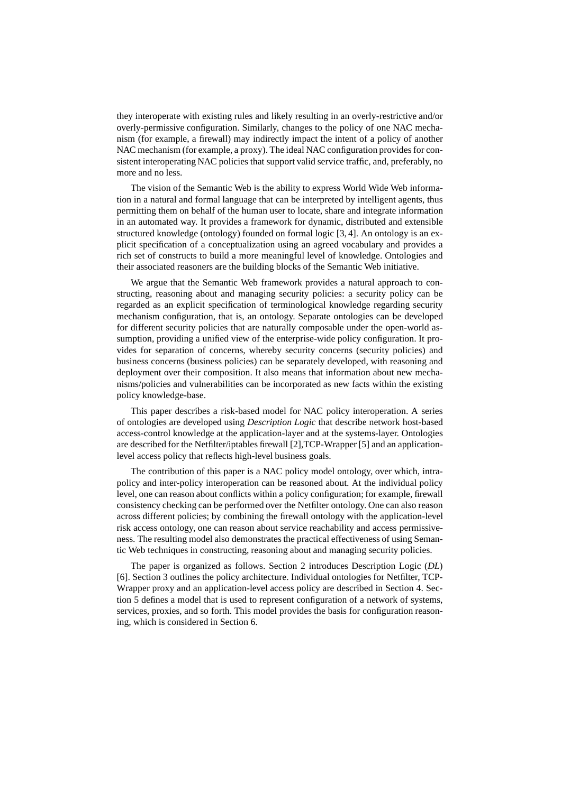they interoperate with existing rules and likely resulting in an overly-restrictive and/or overly-permissive configuration. Similarly, changes to the policy of one NAC mechanism (for example, a firewall) may indirectly impact the intent of a policy of another NAC mechanism (for example, a proxy). The ideal NAC configuration provides for consistent interoperating NAC policies that support valid service traffic, and, preferably, no more and no less.

The vision of the Semantic Web is the ability to express World Wide Web information in a natural and formal language that can be interpreted by intelligent agents, thus permitting them on behalf of the human user to locate, share and integrate information in an automated way. It provides a framework for dynamic, distributed and extensible structured knowledge (ontology) founded on formal logic [3, 4]. An ontology is an explicit specification of a conceptualization using an agreed vocabulary and provides a rich set of constructs to build a more meaningful level of knowledge. Ontologies and their associated reasoners are the building blocks of the Semantic Web initiative.

We argue that the Semantic Web framework provides a natural approach to constructing, reasoning about and managing security policies: a security policy can be regarded as an explicit specification of terminological knowledge regarding security mechanism configuration, that is, an ontology. Separate ontologies can be developed for different security policies that are naturally composable under the open-world assumption, providing a unified view of the enterprise-wide policy configuration. It provides for separation of concerns, whereby security concerns (security policies) and business concerns (business policies) can be separately developed, with reasoning and deployment over their composition. It also means that information about new mechanisms/policies and vulnerabilities can be incorporated as new facts within the existing policy knowledge-base.

This paper describes a risk-based model for NAC policy interoperation. A series of ontologies are developed using *Description Logic* that describe network host-based access-control knowledge at the application-layer and at the systems-layer. Ontologies are described for the Netfilter/iptables firewall [2],TCP-Wrapper [5] and an applicationlevel access policy that reflects high-level business goals.

The contribution of this paper is a NAC policy model ontology, over which, intrapolicy and inter-policy interoperation can be reasoned about. At the individual policy level, one can reason about conflicts within a policy configuration; for example, firewall consistency checking can be performed over the Netfilter ontology. One can also reason across different policies; by combining the firewall ontology with the application-level risk access ontology, one can reason about service reachability and access permissiveness. The resulting model also demonstrates the practical effectiveness of using Semantic Web techniques in constructing, reasoning about and managing security policies.

The paper is organized as follows. Section 2 introduces Description Logic (*DL*) [6]. Section 3 outlines the policy architecture. Individual ontologies for Netfilter, TCP-Wrapper proxy and an application-level access policy are described in Section 4. Section 5 defines a model that is used to represent configuration of a network of systems, services, proxies, and so forth. This model provides the basis for configuration reasoning, which is considered in Section 6.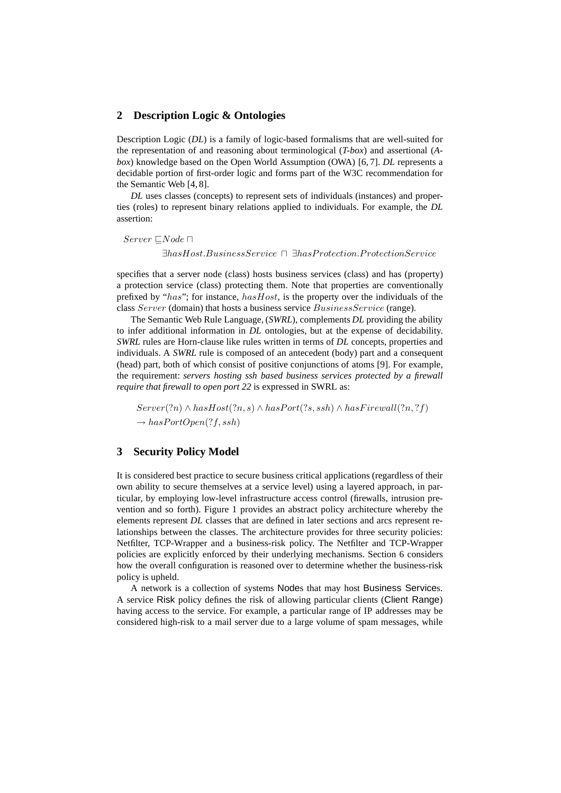# **2 Description Logic & Ontologies**

Description Logic (*DL*) is a family of logic-based formalisms that are well-suited for the representation of and reasoning about terminological (*T-box*) and assertional (*Abox*) knowledge based on the Open World Assumption (OWA) [6, 7]. *DL* represents a decidable portion of first-order logic and forms part of the W3C recommendation for the Semantic Web [4, 8].

*DL* uses classes (concepts) to represent sets of individuals (instances) and properties (roles) to represent binary relations applied to individuals. For example, the *DL* assertion:

Server ⊑Node ⊓

∃hasHost.BusinessService ⊓ ∃hasProtection.ProtectionService

specifies that a server node (class) hosts business services (class) and has (property) a protection service (class) protecting them. Note that properties are conventionally prefixed by "has"; for instance,  $hasHost$ , is the property over the individuals of the class Server (domain) that hosts a business service BusinessService (range).

The Semantic Web Rule Language, (*SWRL*), complements *DL* providing the ability to infer additional information in *DL* ontologies, but at the expense of decidability. *SWRL* rules are Horn-clause like rules written in terms of *DL* concepts, properties and individuals. A *SWRL* rule is composed of an antecedent (body) part and a consequent (head) part, both of which consist of positive conjunctions of atoms [9]. For example, the requirement: *servers hosting ssh based business services protected by a firewall require that firewall to open port 22* is expressed in SWRL as:

 $Server(?n) \wedge hasHost(?n, s) \wedge hasPort(?s, ssh) \wedge hasFirewall(?n, ?f)$  $\rightarrow hasPortOpen(?f, ssh)$ 

# **3 Security Policy Model**

It is considered best practice to secure business critical applications (regardless of their own ability to secure themselves at a service level) using a layered approach, in particular, by employing low-level infrastructure access control (firewalls, intrusion prevention and so forth). Figure 1 provides an abstract policy architecture whereby the elements represent *DL* classes that are defined in later sections and arcs represent relationships between the classes. The architecture provides for three security policies: Netfilter, TCP-Wrapper and a business-risk policy. The Netfilter and TCP-Wrapper policies are explicitly enforced by their underlying mechanisms. Section 6 considers how the overall configuration is reasoned over to determine whether the business-risk policy is upheld.

A network is a collection of systems Nodes that may host Business Services. A service Risk policy defines the risk of allowing particular clients (Client Range) having access to the service. For example, a particular range of IP addresses may be considered high-risk to a mail server due to a large volume of spam messages, while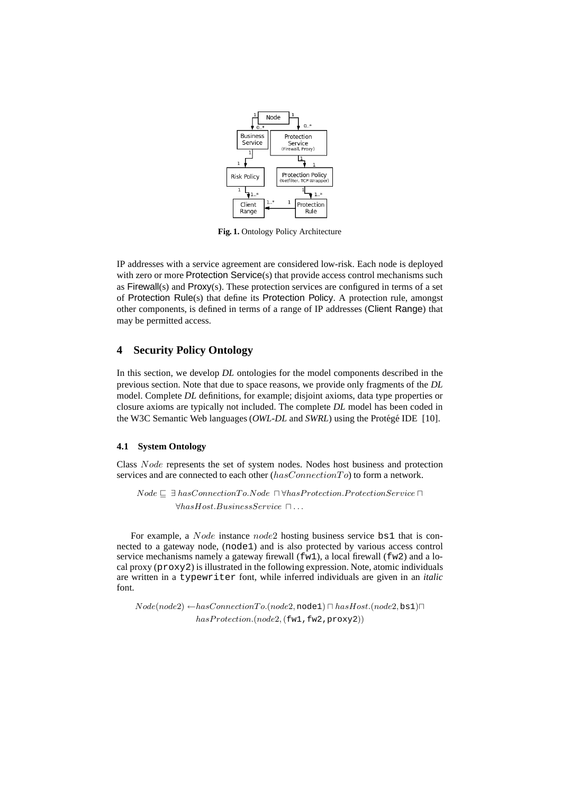

**Fig. 1.** Ontology Policy Architecture

IP addresses with a service agreement are considered low-risk. Each node is deployed with zero or more Protection Service(s) that provide access control mechanisms such as Firewall(s) and Proxy(s). These protection services are configured in terms of a set of Protection Rule(s) that define its Protection Policy. A protection rule, amongst other components, is defined in terms of a range of IP addresses (Client Range) that may be permitted access.

# **4 Security Policy Ontology**

In this section, we develop *DL* ontologies for the model components described in the previous section. Note that due to space reasons, we provide only fragments of the *DL* model. Complete *DL* definitions, for example; disjoint axioms, data type properties or closure axioms are typically not included. The complete *DL* model has been coded in the W3C Semantic Web languages (*OWL-DL* and *SWRL*) using the Protégé IDE [10].

### **4.1 System Ontology**

Class Node represents the set of system nodes. Nodes host business and protection services and are connected to each other  $(hasConnectionTo)$  to form a network.

Node ⊑ ∃ hasConnectionTo.Node ⊓ ∀hasProtection.ProtectionService ⊓ ∀hasHost.BusinessService ⊓ . . .

For example, a Node instance node2 hosting business service bs1 that is connected to a gateway node, (node1) and is also protected by various access control service mechanisms namely a gateway firewall ( $fwd$ ), a local firewall ( $fwd$ ) and a local proxy (proxy2) is illustrated in the following expression. Note, atomic individuals are written in a typewriter font, while inferred individuals are given in an *italic* font.

Node(node2) ←hasConnectionTo.(node2, node1) ⊓ hasHost.(node2, bs1)⊓ hasProtection.(node2, (fw1, fw2, proxy2))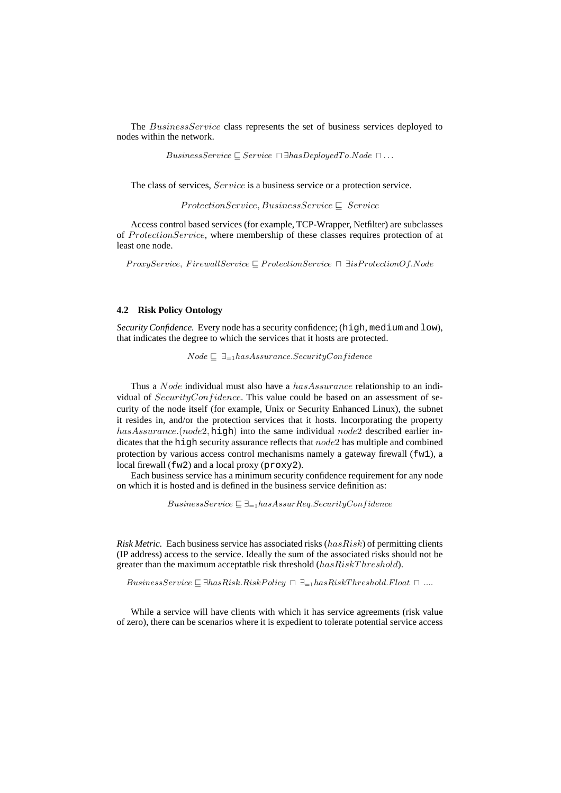The BusinessService class represents the set of business services deployed to nodes within the network.

BusinessService  $\sqsubseteq$  Service  $\sqcap \exists hasDeployedTo.Node \sqcap ...$ 

The class of services, Service is a business service or a protection service.

ProtectionService, BusinessService ⊑ Service

Access control based services (for example, TCP-Wrapper, Netfilter) are subclasses of ProtectionService, where membership of these classes requires protection of at least one node.

ProxyService, FirewallService ⊑ ProtectionService ⊓ ∃isProtectionOf.Node

# **4.2 Risk Policy Ontology**

*Security Confidence.* Every node has a security confidence; (high, medium and low), that indicates the degree to which the services that it hosts are protected.

*Node*  $\sqsubset \exists_{=1}$ *hasAssurance.SecurityConfidence* 

Thus a Node individual must also have a hasAssurance relationship to an individual of  $SecurityConfidence$ . This value could be based on an assessment of security of the node itself (for example, Unix or Security Enhanced Linux), the subnet it resides in, and/or the protection services that it hosts. Incorporating the property has Assurance. (node2, high) into the same individual node2 described earlier indicates that the high security assurance reflects that node2 has multiple and combined protection by various access control mechanisms namely a gateway firewall (fw1), a local firewall (fw2) and a local proxy (proxy2).

Each business service has a minimum security confidence requirement for any node on which it is hosted and is defined in the business service definition as:

BusinessService  $\Box \exists_{=1}$ hasAssurReq.SecurityConfidence

*Risk Metric.* Each business service has associated risks (has Risk) of permitting clients (IP address) access to the service. Ideally the sum of the associated risks should not be greater than the maximum acceptatble risk threshold (hasRiskThreshold).

BusinessService  $\Box$  ∃hasRisk.RiskPolicy  $\Box$   $\exists_{=1}$ hasRiskThreshold.Float  $\Box$  ....

While a service will have clients with which it has service agreements (risk value of zero), there can be scenarios where it is expedient to tolerate potential service access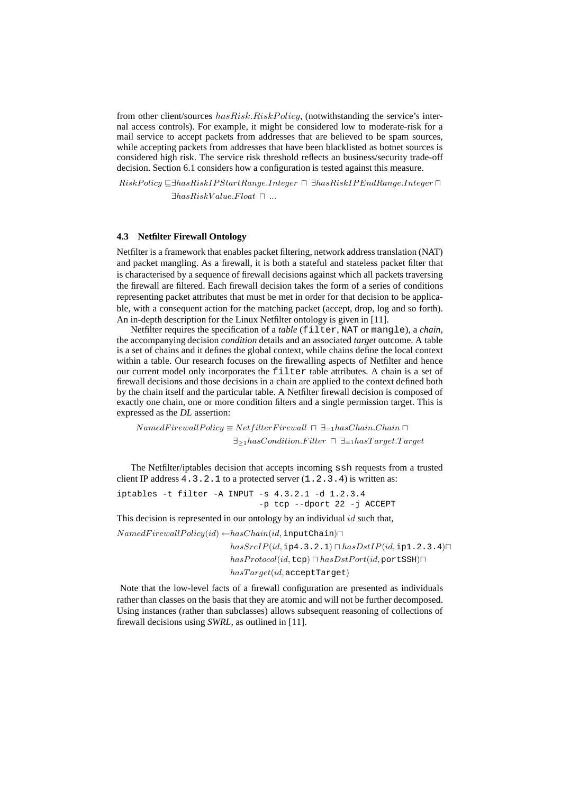from other client/sources  $hasRisk.RiskPolicy$ , (notwithstanding the service's internal access controls). For example, it might be considered low to moderate-risk for a mail service to accept packets from addresses that are believed to be spam sources, while accepting packets from addresses that have been blacklisted as botnet sources is considered high risk. The service risk threshold reflects an business/security trade-off decision. Section 6.1 considers how a configuration is tested against this measure.

RiskPolicy ⊑∃hasRiskIPStartRange.Integer ⊓ ∃hasRiskIPEndRange.Integer ⊓ ∃hasRiskV alue.Float ⊓ ...

### **4.3 Netfilter Firewall Ontology**

Netfilter is a framework that enables packet filtering, network address translation (NAT) and packet mangling. As a firewall, it is both a stateful and stateless packet filter that is characterised by a sequence of firewall decisions against which all packets traversing the firewall are filtered. Each firewall decision takes the form of a series of conditions representing packet attributes that must be met in order for that decision to be applicable, with a consequent action for the matching packet (accept, drop, log and so forth). An in-depth description for the Linux Netfilter ontology is given in [11].

Netfilter requires the specification of a *table* (filter, NAT or mangle), a *chain*, the accompanying decision *condition* details and an associated *target* outcome. A table is a set of chains and it defines the global context, while chains define the local context within a table. Our research focuses on the firewalling aspects of Netfilter and hence our current model only incorporates the filter table attributes. A chain is a set of firewall decisions and those decisions in a chain are applied to the context defined both by the chain itself and the particular table. A Netfilter firewall decision is composed of exactly one chain, one or more condition filters and a single permission target. This is expressed as the *DL* assertion:

 $NamedFirewallPolicy \equiv NetfilterFirewall \sqcap \exists_{=1} hasChain. Chain \sqcap$  $\exists_{\geq 1}$ hasCondition.Filter  $\Box$   $\exists_{=1}$ hasTarget.Target

The Netfilter/iptables decision that accepts incoming ssh requests from a trusted client IP address  $4.3.2.1$  to a protected server  $(1.2.3.4)$  is written as:

iptables -t filter -A INPUT -s 4.3.2.1 -d 1.2.3.4 -p tcp --dport 22 -j ACCEPT

This decision is represented in our ontology by an individual  $id$  such that,

NamedFirewallPolicy(id) ←hasChain(id, inputChain)⊓

 $hasSrcIP(id, ip4.3.2.1) \sqcap hasDstIP(id, ip1.2.3.4) \sqcap$ hasProtocol(id, tcp) ⊓ hasDstPort(id, portSSH)⊓  $hasTarget(id, \text{acceptTarget})$ 

Note that the low-level facts of a firewall configuration are presented as individuals rather than classes on the basis that they are atomic and will not be further decomposed. Using instances (rather than subclasses) allows subsequent reasoning of collections of firewall decisions using *SWRL*, as outlined in [11].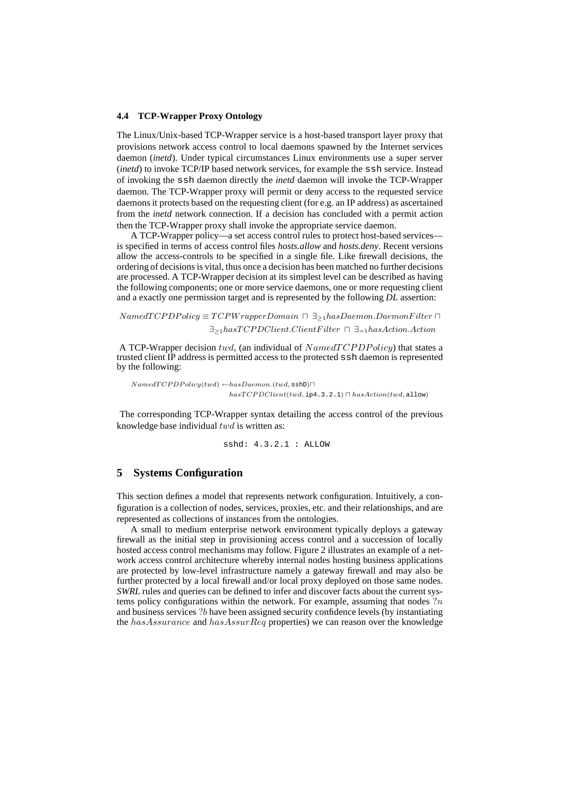#### **4.4 TCP-Wrapper Proxy Ontology**

The Linux/Unix-based TCP-Wrapper service is a host-based transport layer proxy that provisions network access control to local daemons spawned by the Internet services daemon (*inetd*). Under typical circumstances Linux environments use a super server (*inetd*) to invoke TCP/IP based network services, for example the ssh service. Instead of invoking the ssh daemon directly the *inetd* daemon will invoke the TCP-Wrapper daemon. The TCP-Wrapper proxy will permit or deny access to the requested service daemons it protects based on the requesting client (for e.g. an IP address) as ascertained from the *inetd* network connection. If a decision has concluded with a permit action then the TCP-Wrapper proxy shall invoke the appropriate service daemon.

A TCP-Wrapper policy—a set access control rules to protect host-based services is specified in terms of access control files *hosts.allow* and *hosts.deny*. Recent versions allow the access-controls to be specified in a single file. Like firewall decisions, the ordering of decisions is vital, thus once a decision has been matched no further decisions are processed. A TCP-Wrapper decision at its simplest level can be described as having the following components; one or more service daemons, one or more requesting client and a exactly one permission target and is represented by the following *DL* assertion:

NamedTCPDPolicy  $\equiv$  TCPW rapperDomain  $\Box$ <sub>21</sub>hasDaemon.DaemonFilter  $\Box$  $\exists_{\geq 1}$ hasTCPDClient.ClientFilter  $\Box$   $\exists_{=1}$ hasAction.Action

A TCP-Wrapper decision twd, (an individual of  $NamedTCPDPolicy)$ ) that states a trusted client IP address is permitted access to the protected ssh daemon is represented by the following:

 $NamedTCPDPolicy(twd) \leftarrow hasDaemon.(twd, sshD)□$ hasTCPDClient(twd, ip4.3.2.1) ⊓ hasAction(twd, allow)

The corresponding TCP-Wrapper syntax detailing the access control of the previous knowledge base individual  $twd$  is written as:

sshd: 4.3.2.1 : ALLOW

### **5 Systems Configuration**

This section defines a model that represents network configuration. Intuitively, a configuration is a collection of nodes, services, proxies, etc. and their relationships, and are represented as collections of instances from the ontologies.

A small to medium enterprise network environment typically deploys a gateway firewall as the initial step in provisioning access control and a succession of locally hosted access control mechanisms may follow. Figure 2 illustrates an example of a network access control architecture whereby internal nodes hosting business applications are protected by low-level infrastructure namely a gateway firewall and may also be further protected by a local firewall and/or local proxy deployed on those same nodes. *SWRL* rules and queries can be defined to infer and discover facts about the current systems policy configurations within the network. For example, assuming that nodes  $?n$ and business services ?b have been assigned security confidence levels (by instantiating the hasAssurance and hasAssurReq properties) we can reason over the knowledge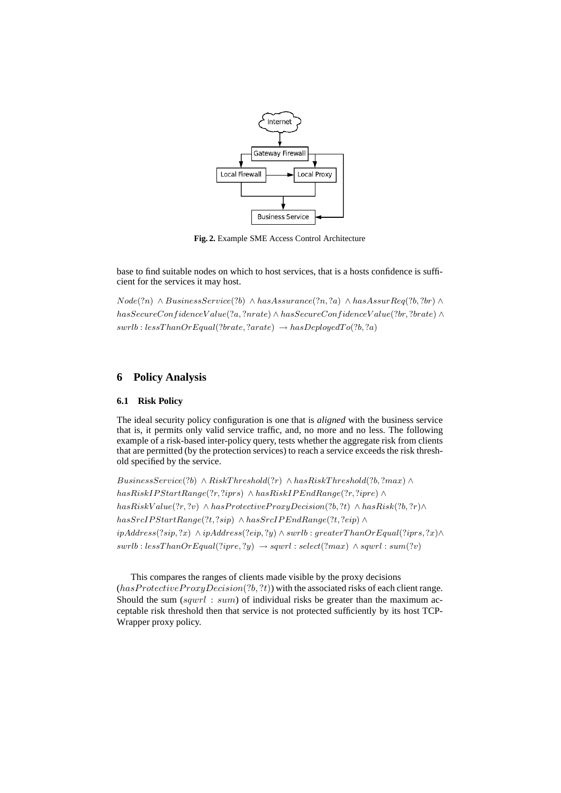

**Fig. 2.** Example SME Access Control Architecture

base to find suitable nodes on which to host services, that is a hosts confidence is sufficient for the services it may host.

 $Node(?n) \wedge BusinessService(?b) \wedge hasAssurance(?n, ?a) \wedge hasAssurface(Q'b, ?br) \wedge$ hasSecureConfidenceV alue(?a, ?nrate) ∧ hasSecureConfidenceV alue(?br, ?brate) ∧  $swrlb: less ThanOrEqual(?brate, ?arate) \rightarrow hasDeplogedTo(?b, ?a)$ 

# **6 Policy Analysis**

#### **6.1 Risk Policy**

The ideal security policy configuration is one that is *aligned* with the business service that is, it permits only valid service traffic, and, no more and no less. The following example of a risk-based inter-policy query, tests whether the aggregate risk from clients that are permitted (by the protection services) to reach a service exceeds the risk threshold specified by the service.

 $BusinessService(?b) \wedge RiskThreshold(?r) \wedge hasRiskThreshold(?b, ?max) \wedge$ hasRiskIPStartRange(?r,?iprs) ∧ hasRiskIPEndRange(?r, ?ipre) ∧  $hasRiskValue(?r, ?v) \wedge hasProjectiveProxyDecision(?b, ?t) \wedge hasRisk(?b, ?r) \wedge$ hasSrcIPStartRange(?t,?sip) ∧ hasSrcIPEndRange(?t, ?eip) ∧  $ipAddress(?sip, ?x) \wedge ipAddress(?eip, ?y) \wedge swrb : greater ThanOrEqual(?iprs, ?x) \wedge$  $swrlb: lessThanOrEqual(?ipre, ?y) \rightarrow sqwrl: select(?max) \land sqwrl: sum(?v)$ 

This compares the ranges of clients made visible by the proxy decisions  $(hasProtectiveProxyDecision(?b, ?t))$  with the associated risks of each client range. Should the sum (sqwrl: sum) of individual risks be greater than the maximum acceptable risk threshold then that service is not protected sufficiently by its host TCP-Wrapper proxy policy.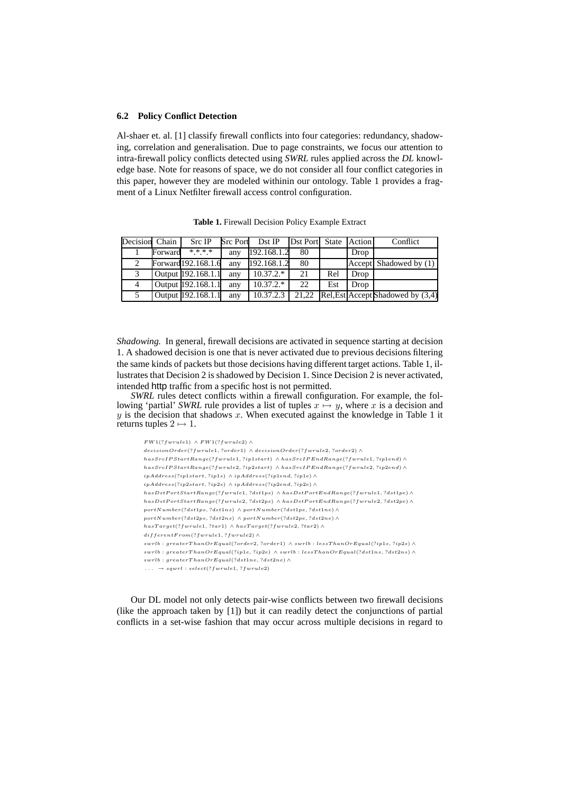#### **6.2 Policy Conflict Detection**

Al-shaer et. al. [1] classify firewall conflicts into four categories: redundancy, shadowing, correlation and generalisation. Due to page constraints, we focus our attention to intra-firewall policy conflicts detected using *SWRL* rules applied across the *DL* knowledge base. Note for reasons of space, we do not consider all four conflict categories in this paper, however they are modeled withinin our ontology. Table 1 provides a fragment of a Linux Netfilter firewall access control configuration.

Decision Chain Src IP Src Port Dst IP Dst Port State Action Conflict 1 Forward \*.\*.\*.\* | any | 192.168.1.2 80 | Drop 2 Forward 192.168.1.6 any 192.168.1.2 80 Accept Shadowed by (1) 3 Output 192.168.1.1 any 10.37.2.\* 21 Rel Drop 4 Output 192.168.1.1 any 10.37.2.\* 22 Est Drop 5 Output 192.168.1.1 any 10.37.2.3 21,22 Rel, Est Accept Shadowed by (3,4)

**Table 1.** Firewall Decision Policy Example Extract

*Shadowing.* In general, firewall decisions are activated in sequence starting at decision 1. A shadowed decision is one that is never activated due to previous decisions filtering the same kinds of packets but those decisions having different target actions. Table 1, illustrates that Decision 2 is shadowed by Decision 1. Since Decision 2 is never activated, intended http traffic from a specific host is not permitted.

*SWRL* rules detect conflicts within a firewall configuration. For example, the following 'partial' *SWRL* rule provides a list of tuples  $x \mapsto y$ , where x is a decision and  $y$  is the decision that shadows  $x$ . When executed against the knowledge in Table 1 it returns tuples  $2 \mapsto 1$ .

```
FW1(?fwrule1) \wedge FW1(?fwrule2) \wedgedecisionOrder(?fwrule1, ?order1) ∧ decisionOrder(?fwrule2, ?order2) ∧
hasSrcIP StartRange(?fwrule1, ?ip1start) ∧ hasSrcIP EndRange(?fwrule1, ?ip1end) ∧
hasSrcIP StartRange(?fwrule2, ?ip2start) ∧ hasSrcIP EndRange(?fwrule2, ?ip2end) ∧
ipAddress(?ip1start, ?ip1s) ∧ ipAddress(?ip1end, ?ip1e) ∧
ipAddress(?ip2start, ?ip2s) ∧ ipAddress(?ip2end, ?ip2e) ∧
hasDstP ortStartRange(?fwrule1, ?dst1ps) ∧ hasDstP ortEndRange(?fwrule1, ?dst1pe) ∧
hasDstP ortStartRange(?fwrule2, ?dst2ps) ∧ hasDstP ortEndRange(?fwrule2, ?dst2pe) ∧
portNumber(?dst1ps, ?dst1ns) ∧ portNumber(?dst1pe, ?dst1ne) ∧
\label{eq:opt1} portNumber('dst2ps, ?dst2ns) \ \wedge \ portNumber('dst2pe, ?dst2ne) \ \wedgehasTarget({?fwrule1, ?tar1}) \wedge hasTarget({?fwrule2, ?tar2}) \wedgedifferentF rom(?fwrule1, ?fwrule2) ∧
swrlb : greaterThanOrEqual(?order2, ?order1) ∧ swrlb : lessThanOrEqual(?ip1s, ?ip2s) ∧
swrlb : greaterT hanOrEqual(?ip1e, ?ip2e) ∧ swrlb : lessThanOrEqual(?dst1ns, ?dst2ns) ∧
swrlb : greaterT hanOrEqual(?dst1ne, ?dst2ne) ∧
\ldots \rightarrow sqwrl : select(?fwrule1, ?fwrule2)
```
Our DL model not only detects pair-wise conflicts between two firewall decisions (like the approach taken by [1]) but it can readily detect the conjunctions of partial conflicts in a set-wise fashion that may occur across multiple decisions in regard to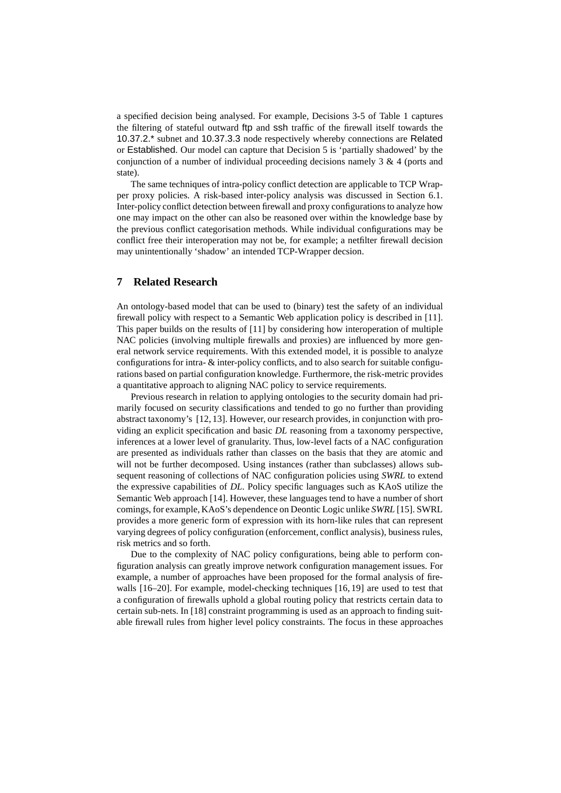a specified decision being analysed. For example, Decisions 3-5 of Table 1 captures the filtering of stateful outward ftp and ssh traffic of the firewall itself towards the 10.37.2.\* subnet and 10.37.3.3 node respectively whereby connections are Related or Established. Our model can capture that Decision 5 is 'partially shadowed' by the conjunction of a number of individual proceeding decisions namely  $3 \& 4$  (ports and state).

The same techniques of intra-policy conflict detection are applicable to TCP Wrapper proxy policies. A risk-based inter-policy analysis was discussed in Section 6.1. Inter-policy conflict detection between firewall and proxy configurations to analyze how one may impact on the other can also be reasoned over within the knowledge base by the previous conflict categorisation methods. While individual configurations may be conflict free their interoperation may not be, for example; a netfilter firewall decision may unintentionally 'shadow' an intended TCP-Wrapper decsion.

# **7 Related Research**

An ontology-based model that can be used to (binary) test the safety of an individual firewall policy with respect to a Semantic Web application policy is described in [11]. This paper builds on the results of [11] by considering how interoperation of multiple NAC policies (involving multiple firewalls and proxies) are influenced by more general network service requirements. With this extended model, it is possible to analyze configurations for intra- & inter-policy conflicts, and to also search for suitable configurations based on partial configuration knowledge. Furthermore, the risk-metric provides a quantitative approach to aligning NAC policy to service requirements.

Previous research in relation to applying ontologies to the security domain had primarily focused on security classifications and tended to go no further than providing abstract taxonomy's [12, 13]. However, our research provides, in conjunction with providing an explicit specification and basic *DL* reasoning from a taxonomy perspective, inferences at a lower level of granularity. Thus, low-level facts of a NAC configuration are presented as individuals rather than classes on the basis that they are atomic and will not be further decomposed. Using instances (rather than subclasses) allows subsequent reasoning of collections of NAC configuration policies using *SWRL* to extend the expressive capabilities of *DL*. Policy specific languages such as KAoS utilize the Semantic Web approach [14]. However, these languages tend to have a number of short comings, for example, KAoS's dependence on Deontic Logic unlike *SWRL* [15]. SWRL provides a more generic form of expression with its horn-like rules that can represent varying degrees of policy configuration (enforcement, conflict analysis), business rules, risk metrics and so forth.

Due to the complexity of NAC policy configurations, being able to perform configuration analysis can greatly improve network configuration management issues. For example, a number of approaches have been proposed for the formal analysis of firewalls [16–20]. For example, model-checking techniques [16, 19] are used to test that a configuration of firewalls uphold a global routing policy that restricts certain data to certain sub-nets. In [18] constraint programming is used as an approach to finding suitable firewall rules from higher level policy constraints. The focus in these approaches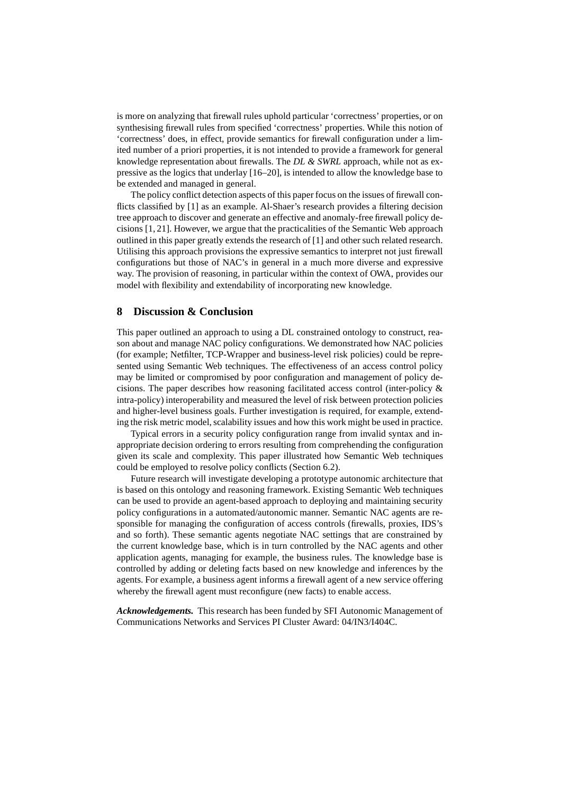is more on analyzing that firewall rules uphold particular 'correctness' properties, or on synthesising firewall rules from specified 'correctness' properties. While this notion of 'correctness' does, in effect, provide semantics for firewall configuration under a limited number of a priori properties, it is not intended to provide a framework for general knowledge representation about firewalls. The *DL & SWRL* approach, while not as expressive as the logics that underlay [16–20], is intended to allow the knowledge base to be extended and managed in general.

The policy conflict detection aspects of this paper focus on the issues of firewall conflicts classified by [1] as an example. Al-Shaer's research provides a filtering decision tree approach to discover and generate an effective and anomaly-free firewall policy decisions [1, 21]. However, we argue that the practicalities of the Semantic Web approach outlined in this paper greatly extends the research of [1] and other such related research. Utilising this approach provisions the expressive semantics to interpret not just firewall configurations but those of NAC's in general in a much more diverse and expressive way. The provision of reasoning, in particular within the context of OWA, provides our model with flexibility and extendability of incorporating new knowledge.

# **8 Discussion & Conclusion**

This paper outlined an approach to using a DL constrained ontology to construct, reason about and manage NAC policy configurations. We demonstrated how NAC policies (for example; Netfilter, TCP-Wrapper and business-level risk policies) could be represented using Semantic Web techniques. The effectiveness of an access control policy may be limited or compromised by poor configuration and management of policy decisions. The paper describes how reasoning facilitated access control (inter-policy & intra-policy) interoperability and measured the level of risk between protection policies and higher-level business goals. Further investigation is required, for example, extending the risk metric model, scalability issues and how this work might be used in practice.

Typical errors in a security policy configuration range from invalid syntax and inappropriate decision ordering to errors resulting from comprehending the configuration given its scale and complexity. This paper illustrated how Semantic Web techniques could be employed to resolve policy conflicts (Section 6.2).

Future research will investigate developing a prototype autonomic architecture that is based on this ontology and reasoning framework. Existing Semantic Web techniques can be used to provide an agent-based approach to deploying and maintaining security policy configurations in a automated/autonomic manner. Semantic NAC agents are responsible for managing the configuration of access controls (firewalls, proxies, IDS's and so forth). These semantic agents negotiate NAC settings that are constrained by the current knowledge base, which is in turn controlled by the NAC agents and other application agents, managing for example, the business rules. The knowledge base is controlled by adding or deleting facts based on new knowledge and inferences by the agents. For example, a business agent informs a firewall agent of a new service offering whereby the firewall agent must reconfigure (new facts) to enable access.

*Acknowledgements.* This research has been funded by SFI Autonomic Management of Communications Networks and Services PI Cluster Award: 04/IN3/I404C.